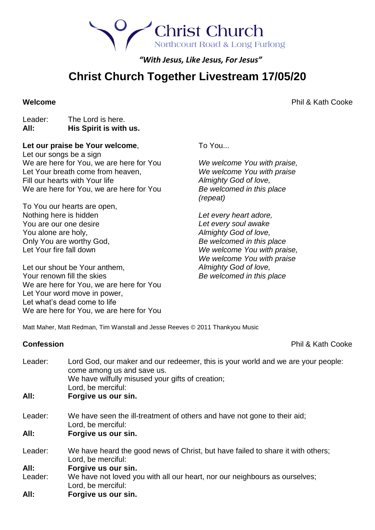**Christ Church** Northcourt Road & Long Furlong

*"With Jesus, Like Jesus, For Jesus"*

# **Christ Church Together Livestream 17/05/20**

**Welcome** Phil & Kath Cooke

Leader: The Lord is here. **All: His Spirit is with us.** 

# **Let our praise be Your welcome**,

Let our songs be a sign We are here for You, we are here for You Let Your breath come from heaven, Fill our hearts with Your life We are here for You, we are here for You

To You our hearts are open, Nothing here is hidden You are our one desire You alone are holy, Only You are worthy God, Let Your fire fall down

Let our shout be Your anthem, Your renown fill the skies We are here for You, we are here for You Let Your word move in power, Let what's dead come to life We are here for You, we are here for You To You...

*We welcome You with praise, We welcome You with praise Almighty God of love, Be welcomed in this place (repeat)*

*Let every heart adore, Let every soul awake Almighty God of love, Be welcomed in this place We welcome You with praise, We welcome You with praise Almighty God of love, Be welcomed in this place*

Matt Maher, Matt Redman, Tim Wanstall and Jesse Reeves © 2011 Thankyou Music

**Confession Confession Phil & Kath Cooke** 

| Leader: | Lord God, our maker and our redeemer, this is your world and we are your people:<br>come among us and save us.<br>We have wilfully misused your gifts of creation;<br>Lord, be merciful: |
|---------|------------------------------------------------------------------------------------------------------------------------------------------------------------------------------------------|
| All:    | Forgive us our sin.                                                                                                                                                                      |
| Leader: | We have seen the ill-treatment of others and have not gone to their aid;<br>Lord, be merciful:                                                                                           |
| All:    | Forgive us our sin.                                                                                                                                                                      |
| Leader: | We have heard the good news of Christ, but have failed to share it with others;<br>Lord, be merciful:                                                                                    |
| All:    | Forgive us our sin.                                                                                                                                                                      |
| Leader: | We have not loved you with all our heart, nor our neighbours as ourselves;<br>Lord, be merciful:                                                                                         |
| All:    | Forgive us our sin.                                                                                                                                                                      |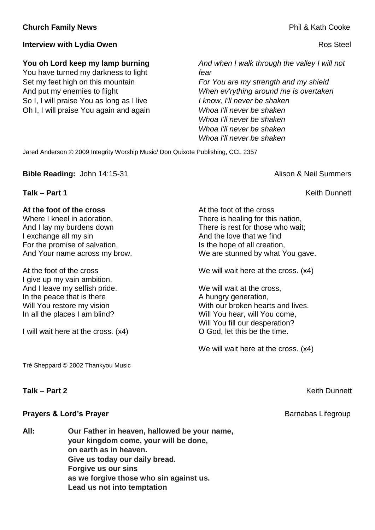# **Church Family News Church Family News Phil & Kath Cooke**

# **Interview with Lydia Owen Ros Steel Ros Steel Ros Steel**

# **You oh Lord keep my lamp burning**

You have turned my darkness to light Set my feet high on this mountain And put my enemies to flight So I, I will praise You as long as I live Oh I, I will praise You again and again *And when I walk through the valley I will not fear For You are my strength and my shield When ev'rything around me is overtaken I know, I'll never be shaken Whoa I'll never be shaken Whoa I'll never be shaken Whoa I'll never be shaken Whoa I'll never be shaken*

Jared Anderson © 2009 Integrity Worship Music/ Don Quixote Publishing, CCL 2357

**Bible Reading:** John 14:15-31 **Alison & Neil Summers** Alison & Neil Summers

**Talk – Part 1** Keith Dunnett

# **At the foot of the cross**

Where I kneel in adoration. And I lay my burdens down I exchange all my sin For the promise of salvation, And Your name across my brow.

At the foot of the cross I give up my vain ambition, And I leave my selfish pride. In the peace that is there Will You restore my vision In all the places I am blind?

I will wait here at the cross. (x4)

Tré Sheppard © 2002 Thankyou Music

# **Talk – Part 2** Keith Dunnett

# **Prayers & Lord's Prayer** Barnabas Lifegroup

**All: Our Father in heaven, hallowed be your name, your kingdom come, your will be done, on earth as in heaven. Give us today our daily bread. Forgive us our sins as we forgive those who sin against us. Lead us not into temptation**

At the foot of the cross There is healing for this nation, There is rest for those who wait; And the love that we find Is the hope of all creation, We are stunned by what You gave.

We will wait here at the cross. (x4)

We will wait at the cross. A hungry generation, With our broken hearts and lives. Will You hear, will You come. Will You fill our desperation? O God, let this be the time.

We will wait here at the cross.  $(x4)$